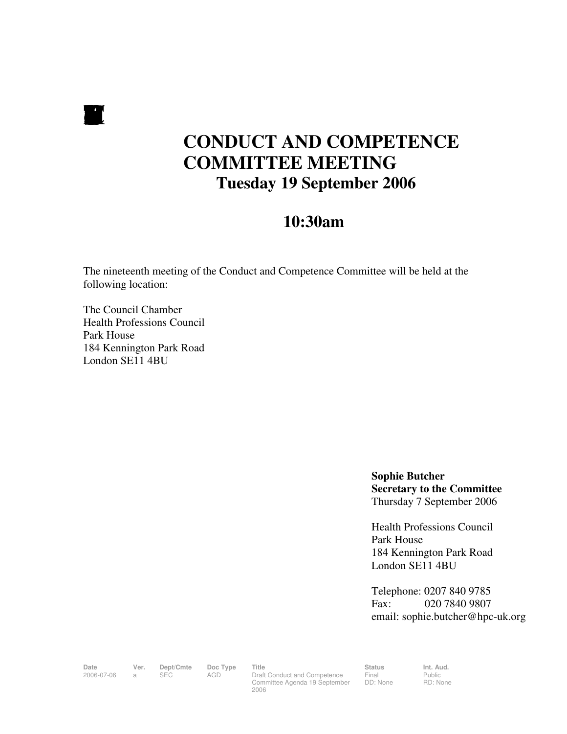$\blacksquare$ 

# **CONDUCT AND COMPETENCE COMMITTEE MEETING Tuesday 19 September 2006**

# **10:30am**

The nineteenth meeting of the Conduct and Competence Committee will be held at the following location:

The Council Chamber Health Professions Council Park House 184 Kennington Park Road London SE11 4BU

> **Sophie Butcher Secretary to the Committee**  Thursday 7 September 2006

Health Professions Council Park House 184 Kennington Park Road London SE11 4BU

Telephone: 0207 840 9785 Fax: 020 7840 9807 email: sophie.butcher@hpc-uk.org

Date Ver. Dept/Cmte Doc<sup>Type</sup> Title Status Status Int. Aud. 2006-07-06 a SEC AGD Draft Conduct and Competence Committee Agenda 19 September 2006

Final DD: None Public RD: None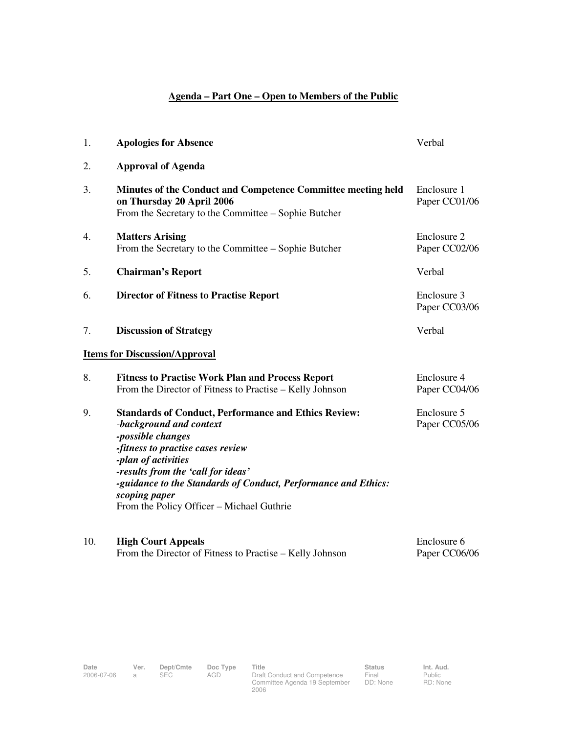## **Agenda – Part One – Open to Members of the Public**

| 1.  | <b>Apologies for Absence</b>                                                                                                                                                                                                                                                                                                                  | Verbal                       |
|-----|-----------------------------------------------------------------------------------------------------------------------------------------------------------------------------------------------------------------------------------------------------------------------------------------------------------------------------------------------|------------------------------|
| 2.  | <b>Approval of Agenda</b>                                                                                                                                                                                                                                                                                                                     |                              |
| 3.  | Minutes of the Conduct and Competence Committee meeting held<br>on Thursday 20 April 2006<br>From the Secretary to the Committee – Sophie Butcher                                                                                                                                                                                             | Enclosure 1<br>Paper CC01/06 |
| 4.  | <b>Matters Arising</b><br>From the Secretary to the Committee – Sophie Butcher                                                                                                                                                                                                                                                                | Enclosure 2<br>Paper CC02/06 |
| 5.  | <b>Chairman's Report</b>                                                                                                                                                                                                                                                                                                                      | Verbal                       |
| 6.  | <b>Director of Fitness to Practise Report</b>                                                                                                                                                                                                                                                                                                 | Enclosure 3<br>Paper CC03/06 |
| 7.  | <b>Discussion of Strategy</b>                                                                                                                                                                                                                                                                                                                 | Verbal                       |
|     | <b>Items for Discussion/Approval</b>                                                                                                                                                                                                                                                                                                          |                              |
| 8.  | <b>Fitness to Practise Work Plan and Process Report</b><br>From the Director of Fitness to Practise - Kelly Johnson                                                                                                                                                                                                                           | Enclosure 4<br>Paper CC04/06 |
| 9.  | <b>Standards of Conduct, Performance and Ethics Review:</b><br>-background and context<br>-possible changes<br>-fitness to practise cases review<br>-plan of activities<br>-results from the 'call for ideas'<br>-guidance to the Standards of Conduct, Performance and Ethics:<br>scoping paper<br>From the Policy Officer - Michael Guthrie | Enclosure 5<br>Paper CC05/06 |
| 10. | <b>High Court Appeals</b><br>From the Director of Fitness to Practise – Kelly Johnson                                                                                                                                                                                                                                                         | Enclosure 6<br>Paper CC06/06 |